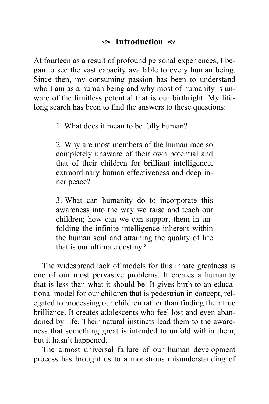## K **Introduction**

At fourteen as a result of profound personal experiences, I began to see the vast capacity available to every human being. Since then, my consuming passion has been to understand who I am as a human being and why most of humanity is unware of the limitless potential that is our birthright. My lifelong search has been to find the answers to these questions:

1. What does it mean to be fully human?

2. Why are most members of the human race so completely unaware of their own potential and that of their children for brilliant intelligence, extraordinary human effectiveness and deep inner peace?

3. What can humanity do to incorporate this awareness into the way we raise and teach our children; how can we can support them in unfolding the infinite intelligence inherent within the human soul and attaining the quality of life that is our ultimate destiny?

The widespread lack of models for this innate greatness is one of our most pervasive problems. It creates a humanity that is less than what it should be. It gives birth to an educational model for our children that is pedestrian in concept, relegated to processing our children rather than finding their true brilliance. It creates adolescents who feel lost and even abandoned by life. Their natural instincts lead them to the awareness that something great is intended to unfold within them, but it hasn't happened.

The almost universal failure of our human development process has brought us to a monstrous misunderstanding of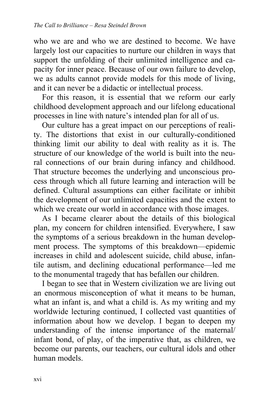who we are and who we are destined to become. We have largely lost our capacities to nurture our children in ways that support the unfolding of their unlimited intelligence and capacity for inner peace. Because of our own failure to develop, we as adults cannot provide models for this mode of living, and it can never be a didactic or intellectual process.

For this reason, it is essential that we reform our early childhood development approach and our lifelong educational processes in line with nature's intended plan for all of us.

Our culture has a great impact on our perceptions of reality. The distortions that exist in our culturally-conditioned thinking limit our ability to deal with reality as it is. The structure of our knowledge of the world is built into the neural connections of our brain during infancy and childhood. That structure becomes the underlying and unconscious process through which all future learning and interaction will be defined. Cultural assumptions can either facilitate or inhibit the development of our unlimited capacities and the extent to which we create our world in accordance with those images.

As I became clearer about the details of this biological plan, my concern for children intensified. Everywhere, I saw the symptoms of a serious breakdown in the human development process. The symptoms of this breakdown—epidemic increases in child and adolescent suicide, child abuse, infantile autism, and declining educational performance—led me to the monumental tragedy that has befallen our children.

I began to see that in Western civilization we are living out an enormous misconception of what it means to be human, what an infant is, and what a child is. As my writing and my worldwide lecturing continued, I collected vast quantities of information about how we develop. I began to deepen my understanding of the intense importance of the maternal/ infant bond, of play, of the imperative that, as children, we become our parents, our teachers, our cultural idols and other human models.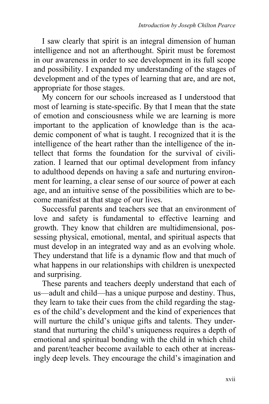I saw clearly that spirit is an integral dimension of human intelligence and not an afterthought. Spirit must be foremost in our awareness in order to see development in its full scope and possibility. I expanded my understanding of the stages of development and of the types of learning that are, and are not, appropriate for those stages.

My concern for our schools increased as I understood that most of learning is state-specific. By that I mean that the state of emotion and consciousness while we are learning is more important to the application of knowledge than is the academic component of what is taught. I recognized that it is the intelligence of the heart rather than the intelligence of the intellect that forms the foundation for the survival of civilization. I learned that our optimal development from infancy to adulthood depends on having a safe and nurturing environment for learning, a clear sense of our source of power at each age, and an intuitive sense of the possibilities which are to become manifest at that stage of our lives.

Successful parents and teachers see that an environment of love and safety is fundamental to effective learning and growth. They know that children are multidimensional, possessing physical, emotional, mental, and spiritual aspects that must develop in an integrated way and as an evolving whole. They understand that life is a dynamic flow and that much of what happens in our relationships with children is unexpected and surprising.

These parents and teachers deeply understand that each of us—adult and child—has a unique purpose and destiny. Thus, they learn to take their cues from the child regarding the stages of the child's development and the kind of experiences that will nurture the child's unique gifts and talents. They understand that nurturing the child's uniqueness requires a depth of emotional and spiritual bonding with the child in which child and parent/teacher become available to each other at increasingly deep levels. They encourage the child's imagination and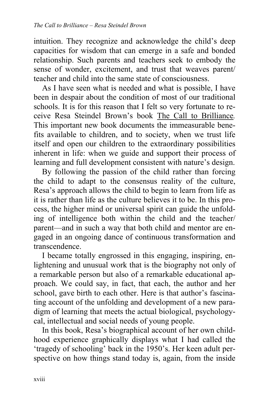intuition. They recognize and acknowledge the child's deep capacities for wisdom that can emerge in a safe and bonded relationship. Such parents and teachers seek to embody the sense of wonder, excitement, and trust that weaves parent/ teacher and child into the same state of consciousness.

As I have seen what is needed and what is possible, I have been in despair about the condition of most of our traditional schools. It is for this reason that I felt so very fortunate to receive Resa Steindel Brown's book The Call to Brilliance*.*  This important new book documents the immeasurable benefits available to children, and to society, when we trust life itself and open our children to the extraordinary possibilities inherent in life: when we guide and support their process of learning and full development consistent with nature's design.

By following the passion of the child rather than forcing the child to adapt to the consensus reality of the culture, Resa's approach allows the child to begin to learn from life as it is rather than life as the culture believes it to be. In this process, the higher mind or universal spirit can guide the unfolding of intelligence both within the child and the teacher/ parent—and in such a way that both child and mentor are engaged in an ongoing dance of continuous transformation and transcendence.

I became totally engrossed in this engaging, inspiring, enlightening and unusual work that is the biography not only of a remarkable person but also of a remarkable educational approach. We could say, in fact, that each, the author and her school, gave birth to each other. Here is that author's fascinating account of the unfolding and development of a new paradigm of learning that meets the actual biological, psychologycal, intellectual and social needs of young people.

In this book, Resa's biographical account of her own childhood experience graphically displays what I had called the 'tragedy of schooling' back in the 1950's. Her keen adult perspective on how things stand today is, again, from the inside